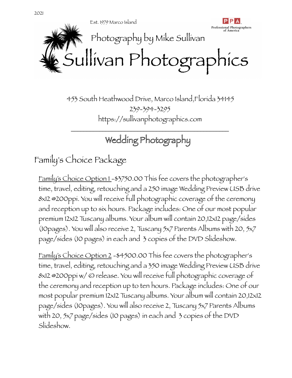

453 South Heathwood Drive, Marco Island,Florida 34145 239-394-3295 https://sullivanphotographics.com

# Wedding Photography

\_\_\_\_\_\_\_\_\_\_\_\_\_\_\_\_\_\_\_\_\_\_\_\_\_\_\_\_\_\_\_\_\_\_\_\_\_\_\_\_\_\_\_\_\_\_\_\_\_\_

Family's Choice Package

Family's Choice Option 1 -\$3750.00 This fee covers the photographer's time, travel, editing, retouching and a 250 image Wedding Preview USB drive 8x12 @200ppi. You will receive full photographic coverage of the ceremony and reception up to six hours. Package includes: One of our most popular premium 12x12 Tuscany albums. Your album will contain 20,12x12 page/sides (10pages). You will also receive 2, Tuscany 5x7 Parents Albums with 20, 5x7 page/sides (10 pages) in each and 3 copies of the DVD Slideshow.

Family's Choice Option 2 -\$4500.00 This fee covers the photographer's time, travel, editing, retouching and a 350 image Wedding Preview USB drive 8x12 @200ppi w/ © release. You will receive full photographic coverage of the ceremony and reception up to ten hours. Package includes: One of our most popular premium 12x12 Tuscany albums. Your album will contain 20,12x12 page/sides (10pages). You will also receive 2, Tuscany 5x7 Parents Albums with 20, 5x7 page/sides (10 pages) in each and 3 copies of the DVD Slideshow.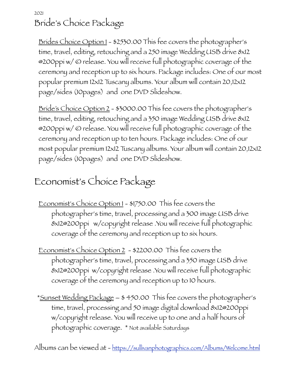2021 Bride's Choice Package

Brides Choice Option 1 - \$2530.00 This fee covers the photographer's time, travel, editing, retouching and a 250 image Wedding USB drive 8x12 @200ppi w/ © release. You will receive full photographic coverage of the ceremony and reception up to six hours. Package includes: One of our most popular premium 12x12 Tuscany albums. Your album will contain 20,12x12 page/sides (10pages) and one DVD Slideshow.

Bride's Choice Option 2 - \$3000.00 This fee covers the photographer's time, travel, editing, retouching and a 350 image Wedding USB drive 8x12 @200ppi w/ © release. You will receive full photographic coverage of the ceremony and reception up to ten hours. Package includes: One of our most popular premium 12x12 Tuscany albums. Your album will contain 20,12x12 page/sides (10pages) and one DVD Slideshow.

## Economist's Choice Package

- Economist's Choice Option 1 \$1750.00 This fee covers the photographer's time, travel, processing and a 300 image USB drive 8x12@200ppi w/copyright release .You will receive full photographic coverage of the ceremony and reception up to six hours.
- Economist's Choice Option 2 \$2200.00 This fee covers the photographer's time, travel, processing and a 350 image USB drive 8x12@200ppi w/copyright release .You will receive full photographic coverage of the ceremony and reception up to 10 hours.
- \*Sunset Wedding Package \$ 450.00 This fee covers the photographer's time, travel, processing and 50 image digital download 8x12@200ppi w/copyright release. You will receive up to one and a half hours of photographic coverage. \* Not available Saturdays

Albums can be viewed at - [https://sullivanphotographics.com/Albums/Welcome.html](http://sullivanphotographics.com/Albums/Welcome.html)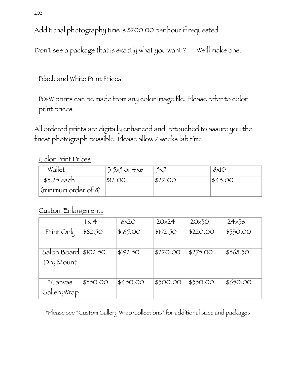2021

Additional photography time is \$200.00 per hour if requested

Don't see a package that is exactly what you want ? - We'll make one.

#### Black and White Print Prices

B&W prints can be made from any color image file. Please refer to color print prices.

All ordered prints are digitally enhanced and retouched to assure you the finest photograph possible. Please allow 2 weeks lab time.

#### Color Print Prices

| Wallet                         | $3.5x5$ or $4x6$ | 5x7     | 8x10    |
|--------------------------------|------------------|---------|---------|
| $$3.25$ each                   | \$12.00          | \$22.00 | \$43.00 |
| $(\text{minimum order of } 8)$ |                  |         |         |

#### Custom Enlargements

|             | $11\times14$ | $16\times20$ | 20x24    | 20x30    | 24x36    |
|-------------|--------------|--------------|----------|----------|----------|
| Print Only  | \$82.50      | \$165.00     | \$192.50 | \$220.00 | \$330.00 |
|             |              |              |          |          |          |
| Salon Board | \$102.50     | \$192.50     | \$220.00 | \$275.00 | \$368.50 |
| Dry Mount   |              |              |          |          |          |
|             |              |              |          |          |          |
| *Canvas     | \$350.00     | \$450.00     | \$500.00 | \$550.00 | \$650.00 |
| GalleryWrap |              |              |          |          |          |

\*Please see "Custom Gallery Wrap Collections" for additional sizes and packages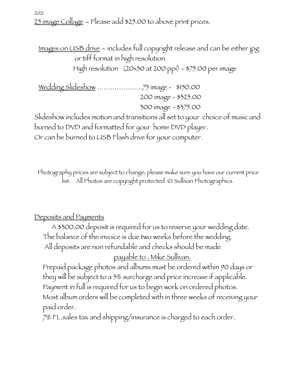25 image Collage – Please add \$25.00 to above print prices.

Images on USB drive – includes full copyright release and can be either jpg or tiff format in high resolution.

High resolution (20x30 at 200 ppi) - \$75.00 per image

Wedding Slideshow …….……….….75 image - \$150.00 200 image - \$325.00 300 image - \$375.00

Slideshow includes motion and transitions all set to your choice of music and burned to DVD and formatted for your home DVD player. Or can be burned to USB Flash drive for your computer.

Photography prices are subject to change; please make sure you have our current price list. All Photos are copyright protected © Sullivan Photographics.

#### Deposits and Payments

2021

A \$300.00 deposit is required for us to reserve your wedding date. The balance of the invoice is due two weeks before the wedding. All deposits are non refundable and checks should be made

payable to : Mike Sullivan.

Prepaid package photos and albums must be ordered within 90 days or they will be subject to a 5% surcharge and price increase if applicable. Payment in full is required for us to begin work on ordered photos. Most album orders will be completed with in three weeks of receiving your paid order.

7% FL.sales tax and shipping/insurance is charged to each order.